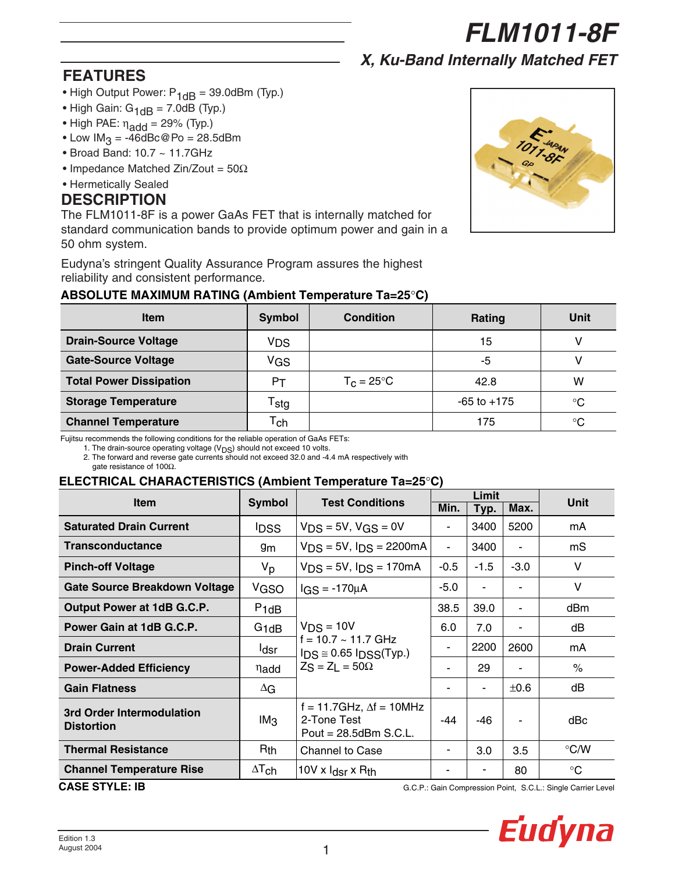*FLM1011-8F*

*X, Ku-Band Internally Matched FET*

# **FEATURES**

- High Output Power:  $P_{1dB} = 39.0$ dBm (Typ.)
- High Gain:  $G_{1dB} = 7.0dB$  (Typ.)
- High PAE:  $\eta_{\text{add}} = 29\%$  (Typ.)
- Low  $IM<sub>3</sub> = -46dBc@Po = 28.5dBm$
- Broad Band: 10.7 ~ 11.7GHz
- Impedance Matched Zin/Zout =  $50\Omega$
- Hermetically Sealed

# **DESCRIPTION**

The FLM1011-8F is a power GaAs FET that is internally matched for standard communication bands to provide optimum power and gain in a 50 ohm system.

Eudyna's stringent Quality Assurance Program assures the highest reliability and consistent performance.



## **ABSOLUTE MAXIMUM RATING (Ambient Temperature Ta=25**°**C)**

| <b>Item</b>                    | <b>Symbol</b>               | <b>Condition</b>     | Rating          | Unit        |
|--------------------------------|-----------------------------|----------------------|-----------------|-------------|
| <b>Drain-Source Voltage</b>    | VDS                         |                      | 15              |             |
| <b>Gate-Source Voltage</b>     | <b>VGS</b>                  |                      | -5              |             |
| <b>Total Power Dissipation</b> | Pт                          | $T_c = 25^{\circ}$ C | 42.8            | W           |
| <b>Storage Temperature</b>     | $\mathsf{r}_{\mathsf{stg}}$ |                      | $-65$ to $+175$ | $^{\circ}C$ |
| <b>Channel Temperature</b>     | $T_{\mathsf{ch}}$           |                      | 175             | $^{\circ}C$ |

Fujitsu recommends the following conditions for the reliable operation of GaAs FETs:

1. The drain-source operating voltage ( $V_{DS}$ ) should not exceed 10 volts.

2. The forward and reverse gate currents should not exceed 32.0 and -4.4 mA respectively with

gate resistance of 100Ω.

# **ELECTRICAL CHARACTERISTICS (Ambient Temperature Ta=25**°**C)**

|                                                | <b>Symbol</b>          |                                                                            | Limit          |        |           |               |
|------------------------------------------------|------------------------|----------------------------------------------------------------------------|----------------|--------|-----------|---------------|
| <b>Item</b>                                    |                        | <b>Test Conditions</b>                                                     | Min.           | Typ.   | Max.      | Unit          |
| <b>Saturated Drain Current</b>                 | <b>IDSS</b>            | $VDS = 5V$ , $VGS = 0V$                                                    | ٠              | 3400   | 5200      | mA            |
| <b>Transconductance</b>                        | 9m                     | $VDS = 5V$ , $IDS = 2200mA$                                                | $\blacksquare$ | 3400   |           | mS            |
| <b>Pinch-off Voltage</b>                       | V <sub>p</sub>         | $VDS = 5V$ , $IDS = 170mA$                                                 | $-0.5$         | $-1.5$ | $-3.0$    | V             |
| <b>Gate Source Breakdown Voltage</b>           | VGSO                   | $IGS = -170\mu A$                                                          | -5.0           |        |           | V             |
| Output Power at 1dB G.C.P.                     | $P_1$ d $B$            |                                                                            | 38.5           | 39.0   | ۰         | dBm           |
| Power Gain at 1dB G.C.P.                       | $G_1$ dB               | $VDS = 10V$                                                                | 6.0            | 7.0    |           | dB            |
| <b>Drain Current</b>                           | ldsr                   | $f = 10.7 - 11.7$ GHz<br>$IDS \approx 0.65 IDSS(Typ.)$                     | ۰              | 2200   | 2600      | mA            |
| <b>Power-Added Efficiency</b>                  | nadd                   | $ZS = ZL = 50\Omega$                                                       |                | 29     |           | $\%$          |
| <b>Gain Flatness</b>                           | $\Delta G$             |                                                                            | ٠              |        | $\pm 0.6$ | dB            |
| 3rd Order Intermodulation<br><b>Distortion</b> | IM <sub>3</sub>        | f = 11.7GHz, $\Delta f$ = 10MHz<br>2-Tone Test<br>Pout = $28.5$ dBm S.C.L. | $-44$          | -46    |           | dBc           |
| <b>Thermal Resistance</b>                      | $R_{th}$               | <b>Channel to Case</b>                                                     | ۰              | 3.0    | 3.5       | $\degree$ C/W |
| <b>Channel Temperature Rise</b>                | $\Delta T_{\text{ch}}$ | 10V x I <sub>dsr</sub> x R <sub>th</sub>                                   |                |        | 80        | $^{\circ}C$   |

**CASE STYLE: IB**

G.C.P.: Gain Compression Point, S.C.L.: Single Carrier Level

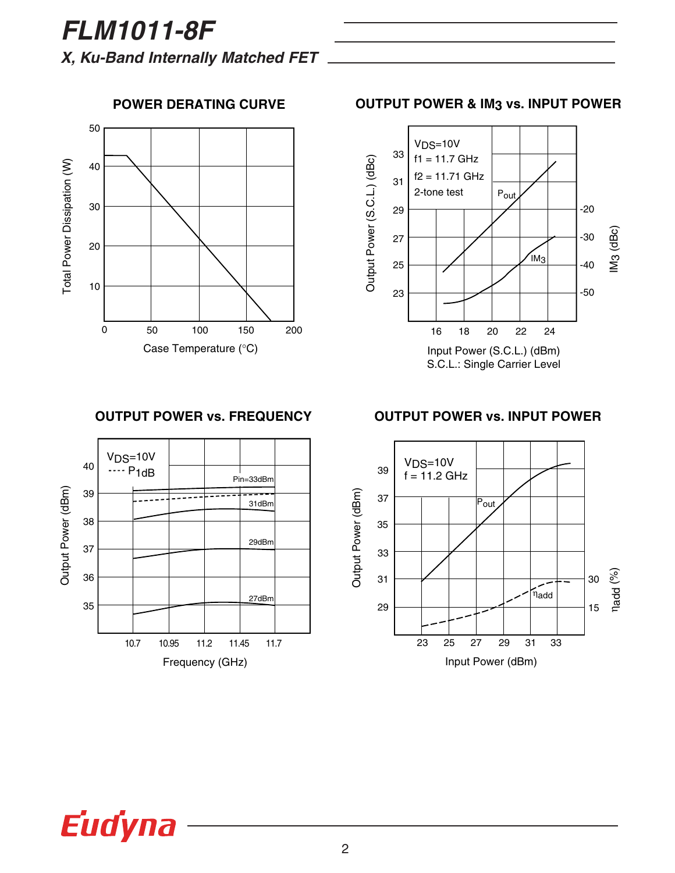*FLM1011-8F X, Ku-Band Internally Matched FET*

50 Total Power Dissipation (W) Total Power Dissipation (W) 40 30 20 10 0 50 100 150 200 Case Temperature (°C)

## **POWER DERATING CURVE**

**OUTPUT POWER & IM3 vs. INPUT POWER**



# **OUTPUT POWER vs. FREQUENCY**



### **OUTPUT POWER vs. INPUT POWER**



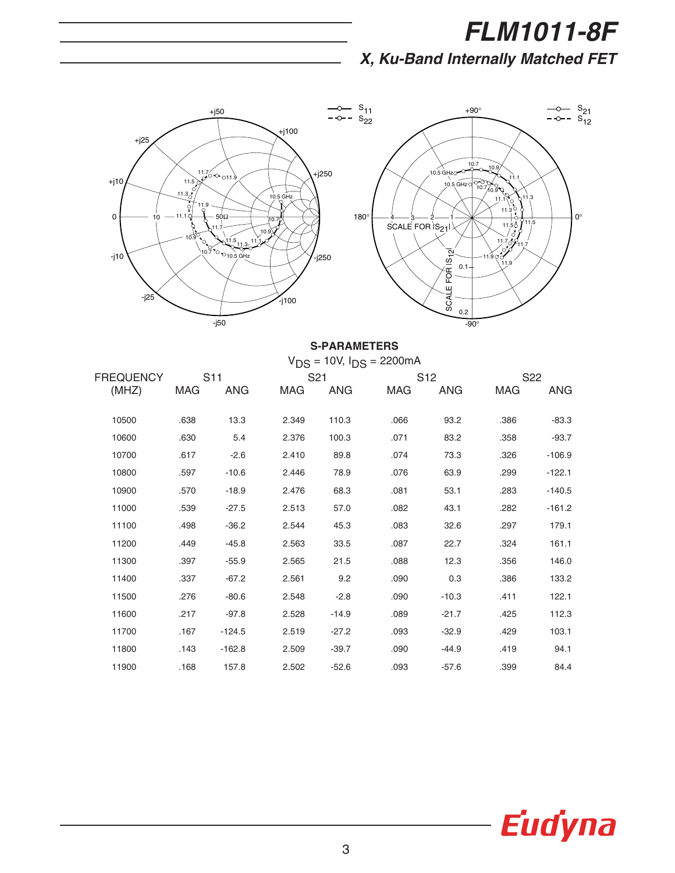# *FLM1011-8F*

*X, Ku-Band Internally Matched FET*



# **S-PARAMETERS**

|                  | $V_{DS}$ = 10V, $I_{DS}$ = 2200 mA |          |       |                 |            |                 |      |                 |  |
|------------------|------------------------------------|----------|-------|-----------------|------------|-----------------|------|-----------------|--|
| <b>FREQUENCY</b> | S11                                |          |       | S <sub>21</sub> |            | S <sub>12</sub> |      | S <sub>22</sub> |  |
| (MHZ)            | MAG                                | ANG      | MAG   | ANG             | <b>MAG</b> | <b>ANG</b>      | MAG  | ANG             |  |
|                  |                                    |          |       |                 |            |                 |      |                 |  |
| 10500            | .638                               | 13.3     | 2.349 | 110.3           | .066       | 93.2            | .386 | $-83.3$         |  |
| 10600            | .630                               | 5.4      | 2.376 | 100.3           | .071       | 83.2            | .358 | $-93.7$         |  |
| 10700            | .617                               | $-2.6$   | 2.410 | 89.8            | .074       | 73.3            | .326 | $-106.9$        |  |
| 10800            | .597                               | $-10.6$  | 2.446 | 78.9            | .076       | 63.9            | .299 | $-122.1$        |  |
| 10900            | .570                               | $-18.9$  | 2.476 | 68.3            | .081       | 53.1            | .283 | $-140.5$        |  |
| 11000            | .539                               | $-27.5$  | 2.513 | 57.0            | .082       | 43.1            | .282 | $-161.2$        |  |
| 11100            | .498                               | $-36.2$  | 2.544 | 45.3            | .083       | 32.6            | .297 | 179.1           |  |
| 11200            | .449                               | $-45.8$  | 2.563 | 33.5            | .087       | 22.7            | .324 | 161.1           |  |
| 11300            | .397                               | $-55.9$  | 2.565 | 21.5            | .088       | 12.3            | .356 | 146.0           |  |
| 11400            | .337                               | $-67.2$  | 2.561 | 9.2             | .090       | 0.3             | .386 | 133.2           |  |
| 11500            | .276                               | $-80.6$  | 2.548 | $-2.8$          | .090       | $-10.3$         | .411 | 122.1           |  |
| 11600            | .217                               | $-97.8$  | 2.528 | $-14.9$         | .089       | $-21.7$         | .425 | 112.3           |  |
| 11700            | .167                               | $-124.5$ | 2.519 | $-27.2$         | .093       | $-32.9$         | .429 | 103.1           |  |
| 11800            | .143                               | $-162.8$ | 2.509 | $-39.7$         | .090       | $-44.9$         | .419 | 94.1            |  |
| 11900            | .168                               | 157.8    | 2.502 | $-52.6$         | .093       | $-57.6$         | .399 | 84.4            |  |